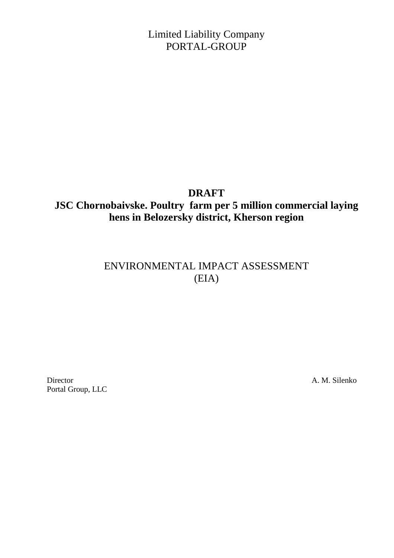Limited Liability Company PORTAL-GROUP

## **DRAFT**

# **JSC Chornobaivske. Poultry farm per 5 million commercial laying hens in Belozersky district, Kherson region**

# ENVIRONMENTAL IMPACT ASSESSMENT (EIA)

Director A. M. Silenko Portal Group, LLC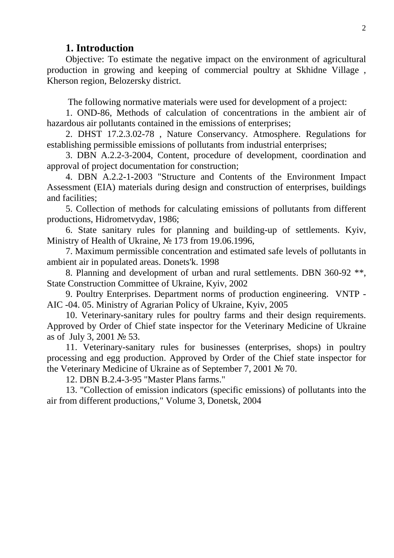### **1. Introduction**

Objective: To estimate the negative impact on the environment of agricultural production in growing and keeping of commercial poultry at Skhidne Village , Kherson region, Belozersky district.

The following normative materials were used for development of a project:

1. OND-86, Methods of calculation of concentrations in the ambient air of hazardous air pollutants contained in the emissions of enterprises;

2. DHST 17.2.3.02-78 , Nature Conservancy. Atmosphere. Regulations for establishing permissible emissions of pollutants from industrial enterprises;

3. DBN A.2.2-3-2004, Content, procedure of development, coordination and approval of project documentation for construction;

4. DBN A.2.2-1-2003 "Structure and Contents of the Environment Impact Assessment (EIA) materials during design and construction of enterprises, buildings and facilities;

5. Collection of methods for calculating emissions of pollutants from different productions, Hidrometvydav, 1986;

6. State sanitary rules for planning and building-up of settlements. Kyiv, Ministry of Health of Ukraine, № 173 from 19.06.1996,

7. Maximum permissible concentration and estimated safe levels of pollutants in ambient air in populated areas. Donets'k. 1998

8. Planning and development of urban and rural settlements. DBN 360-92 \*\*, State Construction Committee of Ukraine, Kyiv, 2002

9. Poultry Enterprises. Department norms of production engineering. VNTP - AIC -04. 05. Ministry of Agrarian Policy of Ukraine, Kyiv, 2005

10. Veterinary-sanitary rules for poultry farms and their design requirements. Approved by Order of Chief state inspector for the Veterinary Medicine of Ukraine as of July 3, 2001 № 53.

11. Veterinary-sanitary rules for businesses (enterprises, shops) in poultry processing and egg production. Approved by Order of the Chief state inspector for the Veterinary Medicine of Ukraine as of September 7, 2001 № 70.

12. DBN B.2.4-3-95 "Master Plans farms."

13. "Collection of emission indicators (specific emissions) of pollutants into the air from different productions," Volume 3, Donetsk, 2004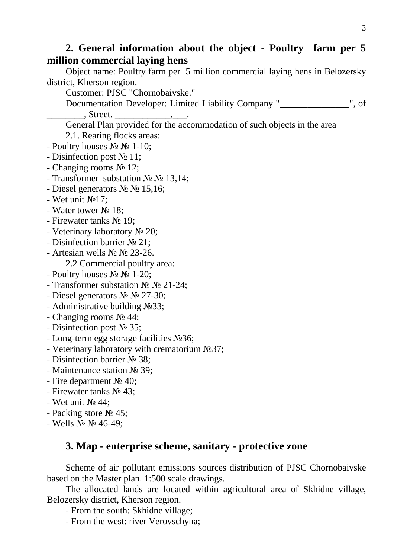# **2. General information about the object - Poultry farm per 5 million commercial laying hens**

Object name: Poultry farm per 5 million commercial laying hens in Belozersky district, Kherson region.

Customer: PJSC "Chornobaivske."

Documentation Developer: Limited Liability Company " \_\_\_\_\_\_\_\_ ", of . Street.

General Plan provided for the accommodation of such objects in the area

2.1. Rearing flocks areas:

- Poultry houses  $\mathbb{N}^{\circ} \mathbb{N}^{\circ}$  1-10;
- Disinfection post № 11;
- Changing rooms № 12;
- Transformer substation  $\mathbb{N}^{\circ} \mathbb{N}^{\circ} 13,14$ ;
- Diesel generators № № 15,16;
- Wet unit №17;
- Water tower № 18;
- Firewater tanks № 19;
- Veterinary laboratory № 20;
- Disinfection barrier № 21;
- Artesian wells № № 23-26.
	- 2.2 Commercial poultry area:
- Poultry houses  $\mathbb{N}^{\circ} \mathbb{N}^{\circ}$  1-20;
- Transformer substation № № 21-24;
- Diesel generators № № 27-30;
- Administrative building №33;
- Changing rooms № 44;
- Disinfection post № 35;
- Long-term egg storage facilities №36;
- Veterinary laboratory with crematorium №37;
- Disinfection barrier № 38;
- Maintenance station № 39;
- Fire department  $\mathcal{N}_2$  40:
- Firewater tanks № 43;
- Wet unit  $\mathbb{N} \circ 44$ :
- Packing store № 45;
- Wells № № 46-49;

## **3. Map - enterprise scheme, sanitary - protective zone**

Scheme of air pollutant emissions sources distribution of PJSC Chornobaivske based on the Master plan. 1:500 scale drawings.

The allocated lands are located within agricultural area of Skhidne village, Belozersky district, Kherson region.

- From the south: Skhidne village;

- From the west: river Verovschyna;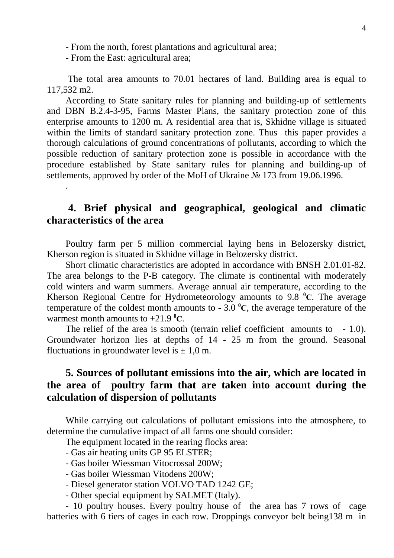- From the north, forest plantations and agricultural area;

- From the East: agricultural area;

.

 The total area amounts to 70.01 hectares of land. Building area is equal to 117,532 m2.

According to State sanitary rules for planning and building-up of settlements and DBN B.2.4-3-95, Farms Master Plans, the sanitary protection zone of this enterprise amounts to 1200 m. A residential area that is, Skhidne village is situated within the limits of standard sanitary protection zone. Thus this paper provides a thorough calculations of ground concentrations of pollutants, according to which the possible reduction of sanitary protection zone is possible in accordance with the procedure established by State sanitary rules for planning and building-up of settlements, approved by order of the MoH of Ukraine № 173 from 19.06.1996.

# **4. Brief physical and geographical, geological and climatic characteristics of the area**

Poultry farm per 5 million commercial laying hens in Belozersky district, Kherson region is situated in Skhidne village in Belozersky district.

Short climatic characteristics are adopted in accordance with BNSH 2.01.01-82. The area belongs to the P-B category. The climate is continental with moderately cold winters and warm summers. Average annual air temperature, according to the Kherson Regional Centre for Hydrometeorology amounts to 9.8 **<sup>0</sup>С**. The average temperature of the coldest month amounts to  $-3.0\degree$ C, the average temperature of the warmest month amounts to  $+21.9$   $^0C$ .

The relief of the area is smooth (terrain relief coefficient amounts to  $-1.0$ ). Groundwater horizon lies at depths of 14 - 25 m from the ground. Seasonal fluctuations in groundwater level is  $\pm$  1,0 m.

# **5. Sources of pollutant emissions into the air, which are located in the area of poultry farm that are taken into account during the calculation of dispersion of pollutants**

While carrying out calculations of pollutant emissions into the atmosphere, to determine the cumulative impact of all farms one should consider:

The equipment located in the rearing flocks area:

- Gas air heating units GP 95 ELSTER;
- Gas boiler Wiessman Vitocrossal 200W;
- Gas boiler Wiessman Vitodens 200W;
- Diesel generator station VOLVO TAD 1242 GE;
- Other special equipment by SALMET (Italy).

- 10 poultry houses. Every poultry house of the area has 7 rows of cage batteries with 6 tiers of cages in each row. Droppings conveyor belt being138 m in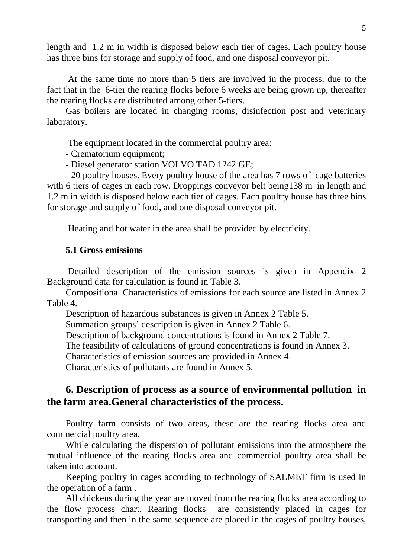length and 1.2 m in width is disposed below each tier of cages. Each poultry house has three bins for storage and supply of food, and one disposal conveyor pit.

 At the same time no more than 5 tiers are involved in the process, due to the fact that in the 6-tier the rearing flocks before 6 weeks are being grown up, thereafter the rearing flocks are distributed among other 5-tiers.

Gas boilers are located in changing rooms, disinfection post and veterinary laboratory.

The equipment located in the commercial poultry area:

- Crematorium equipment;

- Diesel generator station VOLVO TAD 1242 GE;

- 20 poultry houses. Every poultry house of the area has 7 rows of cage batteries with 6 tiers of cages in each row. Droppings conveyor belt being138 m in length and 1.2 m in width is disposed below each tier of cages. Each poultry house has three bins for storage and supply of food, and one disposal conveyor pit.

Heating and hot water in the area shall be provided by electricity.

#### **5.1 Gross emissions**

 Detailed description of the emission sources is given in Appendix 2 Background data for calculation is found in Table 3.

Compositional Characteristics of emissions for each source are listed in Annex 2 Table 4.

Description of hazardous substances is given in Annex 2 Table 5.

Summation groups' description is given in Annex 2 Table 6.

Description of background concentrations is found in Annex 2 Table 7.

The feasibility of calculations of ground concentrations is found in Annex 3.

Characteristics of emission sources are provided in Annex 4.

Characteristics of pollutants are found in Annex 5.

# **6. Description of process as a source of environmental pollution in the farm area.General characteristics of the process.**

Poultry farm consists of two areas, these are the rearing flocks area and commercial poultry area.

While calculating the dispersion of pollutant emissions into the atmosphere the mutual influence of the rearing flocks area and commercial poultry area shall be taken into account.

Keeping poultry in cages according to technology of SALMET firm is used in the operation of a farm .

All chickens during the year are moved from the rearing flocks area according to the flow process chart. Rearing flocks are consistently placed in cages for transporting and then in the same sequence are placed in the cages of poultry houses,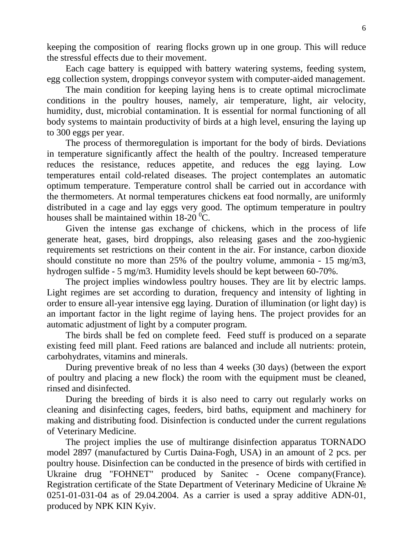keeping the composition of rearing flocks grown up in one group. This will reduce the stressful effects due to their movement.

Each cage battery is equipped with battery watering systems, feeding system, egg collection system, droppings conveyor system with computer-aided management.

The main condition for keeping laying hens is to create optimal microclimate conditions in the poultry houses, namely, air temperature, light, air velocity, humidity, dust, microbial contamination. It is essential for normal functioning of all body systems to maintain productivity of birds at a high level, ensuring the laying up to 300 eggs per year.

The process of thermoregulation is important for the body of birds. Deviations in temperature significantly affect the health of the poultry. Increased temperature reduces the resistance, reduces appetite, and reduces the egg laying. Low temperatures entail cold-related diseases. The project contemplates an automatic optimum temperature. Temperature control shall be carried out in accordance with the thermometers. At normal temperatures chickens eat food normally, are uniformly distributed in a cage and lay eggs very good. The optimum temperature in poultry houses shall be maintained within  $18\text{-}20\text{ °C}$ .

Given the intense gas exchange of chickens, which in the process of life generate heat, gases, bird droppings, also releasing gases and the zoo-hygienic requirements set restrictions on their content in the air. For instance, carbon dioxide should constitute no more than 25% of the poultry volume, ammonia - 15 mg/m3, hydrogen sulfide - 5 mg/m3. Humidity levels should be kept between 60-70%.

The project implies windowless poultry houses. They are lit by electric lamps. Light regimes are set according to duration, frequency and intensity of lighting in order to ensure all-year intensive egg laying. Duration of illumination (or light day) is an important factor in the light regime of laying hens. The project provides for an automatic adjustment of light by a computer program.

The birds shall be fed on complete feed. Feed stuff is produced on a separate existing feed mill plant. Feed rations are balanced and include all nutrients: protein, carbohydrates, vitamins and minerals.

During preventive break of no less than 4 weeks (30 days) (between the export of poultry and placing a new flock) the room with the equipment must be cleaned, rinsed and disinfected.

During the breeding of birds it is also need to carry out regularly works on cleaning and disinfecting cages, feeders, bird baths, equipment and machinery for making and distributing food. Disinfection is conducted under the current regulations of Veterinary Medicine.

The project implies the use of multirange disinfection apparatus TORNADO model 2897 (manufactured by Curtis Daina-Fogh, USA) in an amount of 2 pcs. per poultry house. Disinfection can be conducted in the presence of birds with certified in Ukraine drug "FOHNET" produced by Sanitec - Ocene company(France). Registration certificate of the State Department of Veterinary Medicine of Ukraine № 0251-01-031-04 as of 29.04.2004. As a carrier is used a spray additive ADN-01, produced by NPK KIN Kyiv.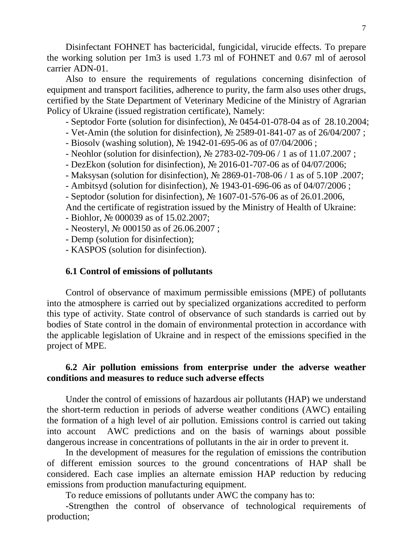Disinfectant FOHNET has bactericidal, fungicidal, virucide effects. To prepare the working solution per 1m3 is used 1.73 ml of FOHNET and 0.67 ml of aerosol carrier ADN-01.

Also to ensure the requirements of regulations concerning disinfection of equipment and transport facilities, adherence to purity, the farm also uses other drugs, certified by the State Department of Veterinary Medicine of the Ministry of Agrarian Policy of Ukraine (issued registration certificate), Namely:

- Septodor Forte (solution for disinfection), № 0454-01-078-04 as of 28.10.2004;

- Vet-Amin (the solution for disinfection), № 2589-01-841-07 as of 26/04/2007 ;
- Biosolv (washing solution), № 1942-01-695-06 as of 07/04/2006 ;
- Neohlor (solution for disinfection), № 2783-02-709-06 / 1 as of 11.07.2007 ;
- DezEkon (solution for disinfection), № 2016-01-707-06 as of 04/07/2006;
- Maksysan (solution for disinfection), № 2869-01-708-06 / 1 as of 5.10P .2007;
- Ambitsyd (solution for disinfection), № 1943-01-696-06 as of 04/07/2006 ;
- Septodor (solution for disinfection), № 1607-01-576-06 as of 26.01.2006,
- And the certificate of registration issued by the Ministry of Health of Ukraine:

- Biohlor, № 000039 as of 15.02.2007;

- Neosteryl, № 000150 as of 26.06.2007 ;

- Demp (solution for disinfection);

- KASPOS (solution for disinfection).

#### **6.1 Control of emissions of pollutants**

Control of observance of maximum permissible emissions (MPE) of pollutants into the atmosphere is carried out by specialized organizations accredited to perform this type of activity. State control of observance of such standards is carried out by bodies of State control in the domain of environmental protection in accordance with the applicable legislation of Ukraine and in respect of the emissions specified in the project of MPE.

## **6.2 Air pollution emissions from enterprise under the adverse weather conditions and measures to reduce such adverse effects**

Under the control of emissions of hazardous air pollutants (HAP) we understand the short-term reduction in periods of adverse weather conditions (AWC) entailing the formation of a high level of air pollution. Emissions control is carried out taking into account AWC predictions and on the basis of warnings about possible dangerous increase in concentrations of pollutants in the air in order to prevent it.

In the development of measures for the regulation of emissions the contribution of different emission sources to the ground concentrations of HAP shall be considered. Each case implies an alternate emission HAP reduction by reducing emissions from production manufacturing equipment.

To reduce emissions of pollutants under AWC the company has to:

-Strengthen the control of observance of technological requirements of production;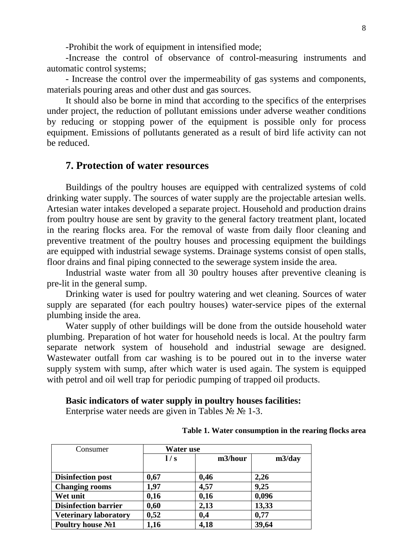-Prohibit the work of equipment in intensified mode;

-Increase the control of observance of control-measuring instruments and automatic control systems;

- Increase the control over the impermeability of gas systems and components, materials pouring areas and other dust and gas sources.

It should also be borne in mind that according to the specifics of the enterprises under project, the reduction of pollutant emissions under adverse weather conditions by reducing or stopping power of the equipment is possible only for process equipment. Emissions of pollutants generated as a result of bird life activity can not be reduced.

## **7. Protection of water resources**

Buildings of the poultry houses are equipped with centralized systems of cold drinking water supply. The sources of water supply are the projectable artesian wells. Artesian water intakes developed a separate project. Household and production drains from poultry house are sent by gravity to the general factory treatment plant, located in the rearing flocks area. For the removal of waste from daily floor cleaning and preventive treatment of the poultry houses and processing equipment the buildings are equipped with industrial sewage systems. Drainage systems consist of open stalls, floor drains and final piping connected to the sewerage system inside the area.

Industrial waste water from all 30 poultry houses after preventive cleaning is pre-lit in the general sump.

Drinking water is used for poultry watering and wet cleaning. Sources of water supply are separated (for each poultry houses) water-service pipes of the external plumbing inside the area.

Water supply of other buildings will be done from the outside household water plumbing. Preparation of hot water for household needs is local. At the poultry farm separate network system of household and industrial sewage are designed. Wastewater outfall from car washing is to be poured out in to the inverse water supply system with sump, after which water is used again. The system is equipped with petrol and oil well trap for periodic pumping of trapped oil products.

#### **Basic indicators of water supply in poultry houses facilities:**

Enterprise water needs are given in Tables  $\mathcal{N}_2$   $\mathcal{N}_2$  1-3.

| Consumer                     | Water use |         |        |  |  |
|------------------------------|-----------|---------|--------|--|--|
|                              | 1/s       | m3/hour | m3/day |  |  |
| Disinfection post            | 0,67      | 0,46    | 2,26   |  |  |
| <b>Changing rooms</b>        | 1,97      | 4,57    | 9,25   |  |  |
| Wet unit                     | 0,16      | 0,16    | 0,096  |  |  |
| <b>Disinfection barrier</b>  | 0,60      | 2,13    | 13,33  |  |  |
| <b>Veterinary laboratory</b> | 0,52      | 0,4     | 0,77   |  |  |
| Poultry house No1            | 1,16      | 4,18    | 39,64  |  |  |

#### **Table 1. Water consumption in the rearing flocks area**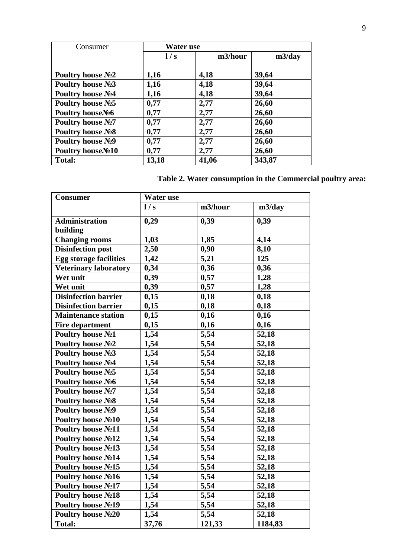| Consumer                       | <b>Water</b> use |         |        |  |  |
|--------------------------------|------------------|---------|--------|--|--|
|                                | 1/s              | m3/hour | m3/day |  |  |
|                                |                  |         |        |  |  |
| Poultry house $N2$             | 1,16             | 4,18    | 39,64  |  |  |
| Poultry house No 3             | 1,16             | 4,18    | 39,64  |  |  |
| Poultry house No4              | 1,16             | 4,18    | 39,64  |  |  |
| Poultry house No 5             | 0,77             | 2,77    | 26,60  |  |  |
| Poultry houseNo6               | 0,77             | 2,77    | 26,60  |  |  |
| Poultry house No?              | 0,77             | 2,77    | 26,60  |  |  |
| Poultry house No <sub>28</sub> | 0,77             | 2,77    | 26,60  |  |  |
| Poultry house N <sub>2</sub> 9 | 0,77             | 2,77    | 26,60  |  |  |
| Poultry houseNo <sub>10</sub>  | 0,77             | 2,77    | 26,60  |  |  |
| <b>Total:</b>                  | 13,18            | 41,06   | 343,87 |  |  |

## **Table 2. Water consumption in the Commercial poultry area:**

| <b>Consumer</b>                | Water use |         |         |  |  |
|--------------------------------|-----------|---------|---------|--|--|
|                                | 1/s       | m3/hour | m3/day  |  |  |
| <b>Administration</b>          | 0,29      | 0,39    | 0,39    |  |  |
| building                       |           |         |         |  |  |
| <b>Changing rooms</b>          | 1,03      | 1,85    | 4,14    |  |  |
| <b>Disinfection post</b>       | 2,50      | 0,90    | 8,10    |  |  |
| <b>Egg storage facilities</b>  | 1,42      | 5,21    | 125     |  |  |
| <b>Veterinary laboratory</b>   | 0,34      | 0,36    | 0,36    |  |  |
| Wet unit                       | 0,39      | 0,57    | 1,28    |  |  |
| Wet unit                       | 0,39      | 0,57    | 1,28    |  |  |
| <b>Disinfection barrier</b>    | 0,15      | 0,18    | 0,18    |  |  |
| <b>Disinfection barrier</b>    | 0,15      | 0,18    | 0,18    |  |  |
| <b>Maintenance station</b>     | 0,15      | 0,16    | 0,16    |  |  |
| <b>Fire department</b>         | 0,15      | 0,16    | 0,16    |  |  |
| Poultry house No1              | 1,54      | 5,54    | 52,18   |  |  |
| Poultry house No2              | 1,54      | 5,54    | 52,18   |  |  |
| Poultry house No3              | 1,54      | 5,54    | 52,18   |  |  |
| Poultry house No4              | 1,54      | 5,54    | 52,18   |  |  |
| Poultry house No 5             | 1,54      | 5,54    | 52,18   |  |  |
| Poultry house No6              | 1,54      | 5,54    | 52,18   |  |  |
| Poultry house No?              | 1,54      | 5,54    | 52,18   |  |  |
| Poultry house No <sub>28</sub> | 1,54      | 5,54    | 52,18   |  |  |
| Poultry house No9              | 1,54      | 5,54    | 52,18   |  |  |
| Poultry house No10             | 1,54      | 5,54    | 52,18   |  |  |
| Poultry house No11             | 1,54      | 5,54    | 52,18   |  |  |
| Poultry house No12             | 1,54      | 5,54    | 52,18   |  |  |
| Poultry house No13             | 1,54      | 5,54    | 52,18   |  |  |
| Poultry house No14             | 1,54      | 5,54    | 52,18   |  |  |
| Poultry house No15             | 1,54      | 5,54    | 52,18   |  |  |
| Poultry house No16             | 1,54      | 5,54    | 52,18   |  |  |
| Poultry house No17             | 1,54      | 5,54    | 52,18   |  |  |
| Poultry house No18             | 1,54      | 5,54    | 52,18   |  |  |
| Poultry house No19             | 1,54      | 5,54    | 52,18   |  |  |
| Poultry house No20             | 1,54      | 5,54    | 52,18   |  |  |
| <b>Total:</b>                  | 37,76     | 121,33  | 1184,83 |  |  |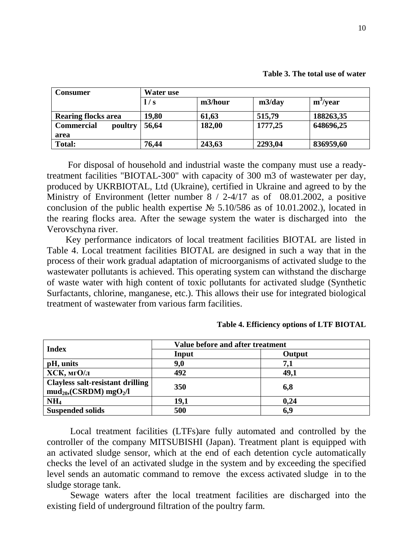| Table 3. The total use of water |  |
|---------------------------------|--|
|---------------------------------|--|

| <b>Consumer</b>              | Water use |         |         |                      |  |
|------------------------------|-----------|---------|---------|----------------------|--|
|                              | 1/s       | m3/hour | m3/day  | m <sup>3</sup> /year |  |
| <b>Rearing flocks area</b>   | 19,80     | 61,63   | 515,79  | 188263,35            |  |
| <b>Commercial</b><br>poultry | 56,64     | 182,00  | 1777,25 | 648696,25            |  |
| area                         |           |         |         |                      |  |
| <b>Total:</b>                | 76,44     | 243,63  | 2293,04 | 836959,60            |  |

 For disposal of household and industrial waste the company must use a readytreatment facilities "BIOTAL-300" with capacity of 300 m3 of wastewater per day, produced by UKRBIOTAL, Ltd (Ukraine), certified in Ukraine and agreed to by the Ministry of Environment (letter number 8 / 2-4/17 as of 08.01.2002, a positive conclusion of the public health expertise  $N_2$  5.10/586 as of 10.01.2002.), located in the rearing flocks area. After the sewage system the water is discharged into the Verovschyna river.

Key performance indicators of local treatment facilities BIOTAL are listed in Table 4. Local treatment facilities BIOTAL are designed in such a way that in the process of their work gradual adaptation of microorganisms of activated sludge to the wastewater pollutants is achieved. This operating system can withstand the discharge of waste water with high content of toxic pollutants for activated sludge (Synthetic Surfactants, chlorine, manganese, etc.). This allows their use for integrated biological treatment of wastewater from various farm facilities.

| <b>Index</b>                                                                        | Value before and after treatment |        |  |  |  |
|-------------------------------------------------------------------------------------|----------------------------------|--------|--|--|--|
|                                                                                     | Input                            | Output |  |  |  |
| pH, units                                                                           | 9,0                              | 7,1    |  |  |  |
| ХСК, мгО/л                                                                          | 492                              | 49,1   |  |  |  |
| <b>Clayless salt-resistant drilling</b><br>$mud_{20}$ , (CSRDM) mgO <sub>2</sub> /l | 350                              | 6,8    |  |  |  |
| NH <sub>4</sub>                                                                     | 19,1                             | 0,24   |  |  |  |
| <b>Suspended solids</b>                                                             | 500                              | 6,9    |  |  |  |

**Table 4. Efficiency options of LTF BIOTAL** 

 Local treatment facilities (LTFs)are fully automated and controlled by the controller of the company MITSUBISHI (Japan). Treatment plant is equipped with an activated sludge sensor, which at the end of each detention cycle automatically checks the level of an activated sludge in the system and by exceeding the specified level sends an automatic command to remove the excess activated sludge in to the sludge storage tank.

 Sewage waters after the local treatment facilities are discharged into the existing field of underground filtration of the poultry farm.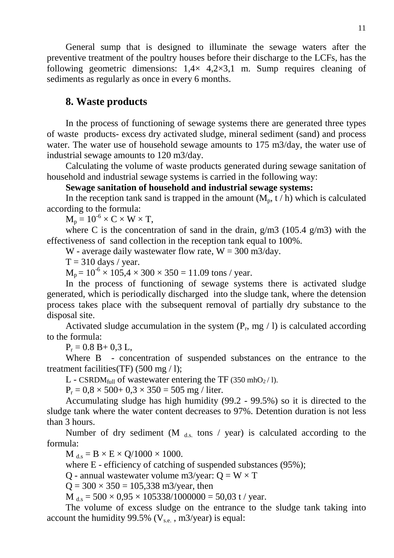General sump that is designed to illuminate the sewage waters after the preventive treatment of the poultry houses before their discharge to the LCFs, has the following geometric dimensions:  $1.4 \times 4.2 \times 3.1$  m. Sump requires cleaning of sediments as regularly as once in every 6 months.

## **8. Waste products**

In the process of functioning of sewage systems there are generated three types of waste products- excess dry activated sludge, mineral sediment (sand) and process water. The water use of household sewage amounts to 175 m3/day, the water use of industrial sewage amounts to 120 m3/day.

Calculating the volume of waste products generated during sewage sanitation of household and industrial sewage systems is carried in the following way:

### **Sewage sanitation of household and industrial sewage systems:**

In the reception tank sand is trapped in the amount  $(M_p, t/h)$  which is calculated according to the formula:

 $M_p = 10^{-6} \times C \times W \times T$ ,

where C is the concentration of sand in the drain,  $g/m3$  (105.4  $g/m3$ ) with the effectiveness of sand collection in the reception tank equal to 100%.

W - average daily wastewater flow rate,  $W = 300$  m $3$ /day.

 $T = 310$  days / year.

 $M_p = 10^{-6} \times 105.4 \times 300 \times 350 = 11.09$  tons / year.

In the process of functioning of sewage systems there is activated sludge generated, which is periodically discharged into the sludge tank, where the detension process takes place with the subsequent removal of partially dry substance to the disposal site.

Activated sludge accumulation in the system  $(P_r, mg / 1)$  is calculated according to the formula:

 $P_r = 0.8 B + 0.3 L,$ 

Where B - concentration of suspended substances on the entrance to the treatment facilities(TF)  $(500 \text{ mg} / 1)$ ;

L - CSRDM<sub>full</sub> of wastewater entering the TF (350 mhO<sub>2</sub>/1).

 $P_r = 0.8 \times 500 + 0.3 \times 350 = 505$  mg / liter.

Accumulating sludge has high humidity (99.2 - 99.5%) so it is directed to the sludge tank where the water content decreases to 97%. Detention duration is not less than 3 hours.

Number of dry sediment (M  $_{ds}$  tons / year) is calculated according to the formula:

 $M_{ds} = B \times E \times Q/1000 \times 1000$ .

where E - efficiency of catching of suspended substances (95%);

Q - annual wastewater volume m3/year:  $Q = W \times T$ 

 $Q = 300 \times 350 = 105,338$  m3/year, then

 $M_{d.s} = 500 \times 0.95 \times 105338/1000000 = 50.03$  t / year.

The volume of excess sludge on the entrance to the sludge tank taking into account the humidity 99.5% ( $V_{\text{se}}$ , m3/year) is equal: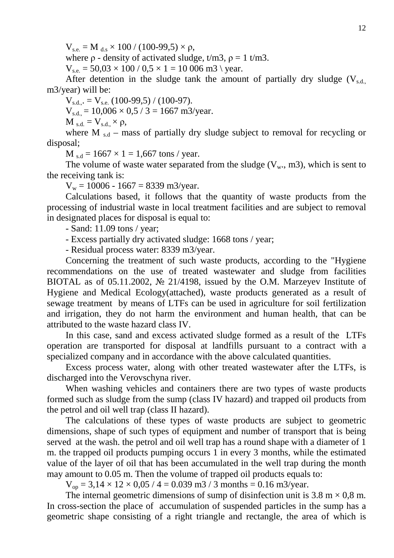$V_{\text{se}} = M_{\text{ds}} \times 100 / (100\text{-}99.5) \times \rho$ ,

where  $\rho$  - density of activated sludge,  $t/m3$ ,  $\rho = 1$  t/m3.

 $V_{se} = 50.03 \times 100 / 0.5 \times 1 = 10006$  m3 \ year.

After detention in the sludge tank the amount of partially dry sludge  $(V_{s,d}$ m3/year) will be:

 $V_{s.d.,.} = V_{s.e.} (100-99,5) / (100-97).$  $V_{s.d.} = 10,006 \times 0,5 / 3 = 1667$  m3/year.  $M_{\rm s.d.} = V_{\rm s.d.} \times \rho$ ,

where M  $_{sd}$  – mass of partially dry sludge subject to removal for recycling or disposal;

 $M_{\rm sd} = 1667 \times 1 = 1,667 \text{ tons}$  / year.

The volume of waste water separated from the sludge  $(V_w, m3)$ , which is sent to the receiving tank is:

 $V_w = 10006 - 1667 = 8339$  m3/year.

Calculations based, it follows that the quantity of waste products from the processing of industrial waste in local treatment facilities and are subject to removal in designated places for disposal is equal to:

- Sand: 11.09 tons / year;

- Excess partially dry activated sludge: 1668 tons / year;

- Residual process water: 8339 m3/year.

Concerning the treatment of such waste products, according to the "Hygiene recommendations on the use of treated wastewater and sludge from facilities BIOTAL as of 05.11.2002, № 21/4198, issued by the O.M. Marzeyev Institute of Hygiene and Medical Ecology(attached), waste products generated as a result of sewage treatment by means of LTFs can be used in agriculture for soil fertilization and irrigation, they do not harm the environment and human health, that can be attributed to the waste hazard class IV.

In this case, sand and excess activated sludge formed as a result of the LTFs operation are transported for disposal at landfills pursuant to a contract with a specialized company and in accordance with the above calculated quantities.

Excess process water, along with other treated wastewater after the LTFs, is discharged into the Verovschyna river.

When washing vehicles and containers there are two types of waste products formed such as sludge from the sump (class IV hazard) and trapped oil products from the petrol and oil well trap (class II hazard).

The calculations of these types of waste products are subject to geometric dimensions, shape of such types of equipment and number of transport that is being served at the wash. the petrol and oil well trap has a round shape with a diameter of 1 m. the trapped oil products pumping occurs 1 in every 3 months, while the estimated value of the layer of oil that has been accumulated in the well trap during the month may amount to 0.05 m. Then the volume of trapped oil products equals to:

 $V_{\text{op}} = 3.14 \times 12 \times 0.05 / 4 = 0.039 \text{ m}^2 / 3 \text{ months} = 0.16 \text{ m}^2/\text{year}.$ 

The internal geometric dimensions of sump of disinfection unit is  $3.8 \text{ m} \times 0.8 \text{ m}$ . In cross-section the place of accumulation of suspended particles in the sump has a geometric shape consisting of a right triangle and rectangle, the area of which is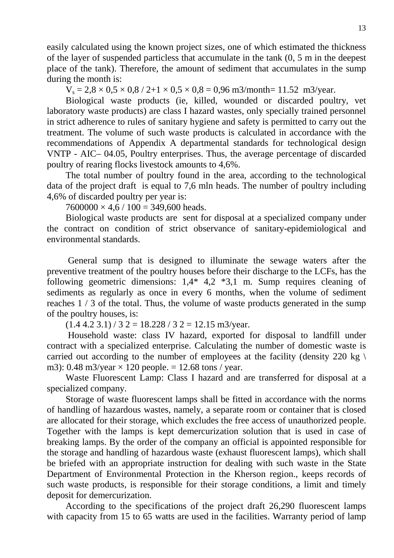easily calculated using the known project sizes, one of which estimated the thickness of the layer of suspended particless that accumulate in the tank (0, 5 m in the deepest place of the tank). Therefore, the amount of sediment that accumulates in the sump during the month is:

 $V_s = 2.8 \times 0.5 \times 0.8 / 2 + 1 \times 0.5 \times 0.8 = 0.96$  m3/month= 11.52 m3/year.

Biological waste products (ie, killed, wounded or discarded poultry, vet laboratory waste products) are class I hazard wastes, only specially trained personnel in strict adherence to rules of sanitary hygiene and safety is permitted to carry out the treatment. The volume of such waste products is calculated in accordance with the recommendations of Appendix A departmental standards for technological design VNTP - AIC– 04.05, Poultry enterprises. Thus, the average percentage of discarded poultry of rearing flocks livestock amounts to 4,6%.

The total number of poultry found in the area, according to the technological data of the project draft is equal to 7,6 mln heads. The number of poultry including 4,6% of discarded poultry per year is:

 $7600000 \times 4.6 / 100 = 349,600$  heads.

Biological waste products are sent for disposal at a specialized company under the contract on condition of strict observance of sanitary-epidemiological and environmental standards.

 General sump that is designed to illuminate the sewage waters after the preventive treatment of the poultry houses before their discharge to the LCFs, has the following geometric dimensions: 1,4\* 4,2 \*3,1 m. Sump requires cleaning of sediments as regularly as once in every 6 months, when the volume of sediment reaches 1 / 3 of the total. Thus, the volume of waste products generated in the sump of the poultry houses, is:

 $(1.4 4.2 3.1)$  / 3 2 = 18.228 / 3 2 = 12.15 m3/year.

 Household waste: class IV hazard, exported for disposal to landfill under contract with a specialized enterprise. Calculating the number of domestic waste is carried out according to the number of employees at the facility (density 220 kg  $\setminus$ m3): 0.48 m3/year  $\times$  120 people. = 12.68 tons / year.

Waste Fluorescent Lamp: Class I hazard and are transferred for disposal at a specialized company.

Storage of waste fluorescent lamps shall be fitted in accordance with the norms of handling of hazardous wastes, namely, a separate room or container that is closed are allocated for their storage, which excludes the free access of unauthorized people. Together with the lamps is kept demercurization solution that is used in case of breaking lamps. By the order of the company an official is appointed responsible for the storage and handling of hazardous waste (exhaust fluorescent lamps), which shall be briefed with an appropriate instruction for dealing with such waste in the State Department of Environmental Protection in the Kherson region., keeps records of such waste products, is responsible for their storage conditions, a limit and timely deposit for demercurization.

According to the specifications of the project draft 26,290 fluorescent lamps with capacity from 15 to 65 watts are used in the facilities. Warranty period of lamp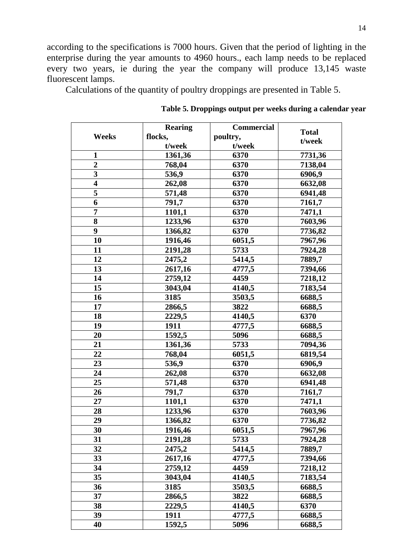according to the specifications is 7000 hours. Given that the period of lighting in the enterprise during the year amounts to 4960 hours., each lamp needs to be replaced every two years, ie during the year the company will produce 13,145 waste fluorescent lamps.

Calculations of the quantity of poultry droppings are presented in Table 5.

|                         | <b>Rearing</b> | <b>Commercial</b> | <b>Total</b> |
|-------------------------|----------------|-------------------|--------------|
| Weeks                   | flocks,        | poultry,          | t/week       |
|                         | t/week         | t/week            |              |
| $\mathbf{1}$            | 1361,36        | 6370              | 7731,36      |
| $\overline{2}$          | 768,04         | 6370              | 7138,04      |
| $\overline{\mathbf{3}}$ | 536,9          | 6370              | 6906,9       |
| $\overline{\mathbf{4}}$ | 262,08         | 6370              | 6632,08      |
| 5                       | 571,48         | 6370              | 6941,48      |
| 6                       | 791,7          | 6370              | 7161,7       |
| $\overline{7}$          | 1101,1         | 6370              | 7471,1       |
| 8                       | 1233,96        | 6370              | 7603,96      |
| 9                       | 1366,82        | 6370              | 7736,82      |
| 10                      | 1916,46        | 6051,5            | 7967,96      |
| 11                      | 2191,28        | 5733              | 7924,28      |
| 12                      | 2475,2         | 5414,5            | 7889,7       |
| 13                      | 2617,16        | 4777,5            | 7394,66      |
| 14                      | 2759,12        | 4459              | 7218,12      |
| 15                      | 3043,04        | 4140,5            | 7183,54      |
| 16                      | 3185           | 3503,5            | 6688,5       |
| 17                      | 2866,5         | 3822              | 6688,5       |
| 18                      | 2229,5         | 4140,5            | 6370         |
| 19                      | 1911           | 4777,5            | 6688,5       |
| 20                      | 1592,5         | 5096              | 6688,5       |
| 21                      | 1361,36        | 5733              | 7094,36      |
| 22                      | 768,04         | 6051,5            | 6819,54      |
| 23                      | 536,9          | 6370              | 6906,9       |
| 24                      | 262,08         | 6370              | 6632,08      |
| 25                      | 571,48         | 6370              | 6941,48      |
| 26                      | 791,7          | 6370              | 7161,7       |
| 27                      | 1101,1         | 6370              | 7471,1       |
| 28                      | 1233,96        | 6370              | 7603,96      |
| 29                      | 1366,82        | 6370              | 7736,82      |
| 30                      | 1916,46        | 6051,5            | 7967,96      |
| 31                      | 2191,28        | 5733              | 7924,28      |
| 32                      | 2475,2         | 5414,5            | 7889,7       |
| 33                      | 2617,16        | 4777,5            | 7394,66      |
| 34                      | 2759,12        | 4459              | 7218,12      |
| 35                      | 3043,04        | 4140,5            | 7183,54      |
| 36                      | 3185           | 3503,5            | 6688,5       |
| 37                      | 2866,5         | 3822              | 6688,5       |
| 38                      | 2229,5         | 4140,5            | 6370         |
| 39                      | 1911           | 4777,5            | 6688,5       |
| 40                      | 1592,5         | 5096              | 6688,5       |

 **Table 5. Droppings output per weeks during a calendar year**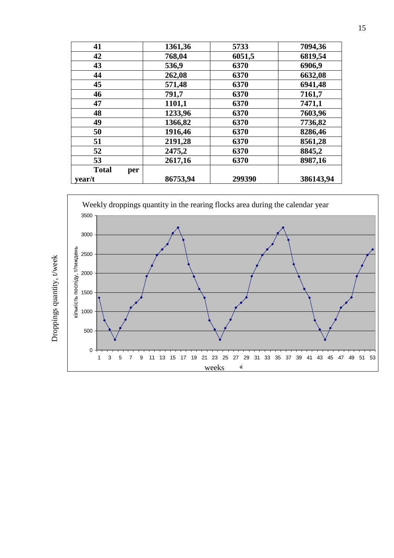| 41                  | 1361,36  | 5733   | 7094,36   |
|---------------------|----------|--------|-----------|
| 42                  | 768,04   | 6051,5 | 6819,54   |
| 43                  | 536,9    | 6370   | 6906,9    |
| 44                  | 262,08   | 6370   | 6632,08   |
| 45                  | 571,48   | 6370   | 6941,48   |
| 46                  | 791,7    | 6370   | 7161,7    |
| 47                  | 1101,1   | 6370   | 7471,1    |
| 48                  | 1233,96  | 6370   | 7603,96   |
| 49                  | 1366,82  | 6370   | 7736,82   |
| 50                  | 1916,46  | 6370   | 8286,46   |
| 51                  | 2191,28  | 6370   | 8561,28   |
| 52                  | 2475,2   | 6370   | 8845,2    |
| 53                  | 2617,16  | 6370   | 8987,16   |
| <b>Total</b><br>per |          |        |           |
| year/t              | 86753,94 | 299390 | 386143,94 |



Droppings quantity, t/week Droppings quantity, t/week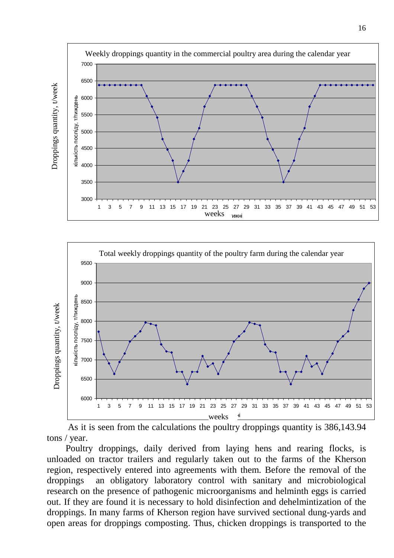



 As it is seen from the calculations the poultry droppings quantity is 386,143.94 tons / year.

Poultry droppings, daily derived from laying hens and rearing flocks, is unloaded on tractor trailers and regularly taken out to the farms of the Kherson region, respectively entered into agreements with them. Before the removal of the droppings an obligatory laboratory control with sanitary and microbiological research on the presence of pathogenic microorganisms and helminth eggs is carried out. If they are found it is necessary to hold disinfection and dehelmintization of the droppings. In many farms of Kherson region have survived sectional dung-yards and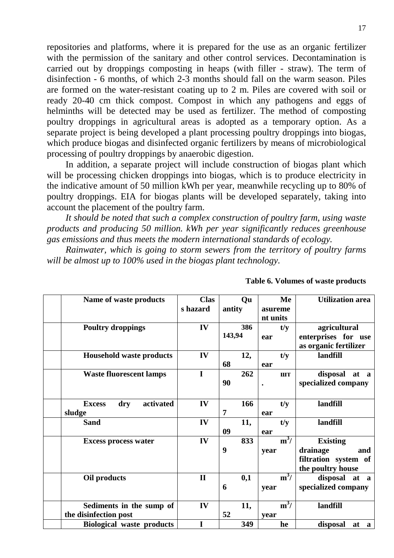repositories and platforms, where it is prepared for the use as an organic fertilizer with the permission of the sanitary and other control services. Decontamination is carried out by droppings composting in heaps (with filler - straw). The term of disinfection - 6 months, of which 2-3 months should fall on the warm season. Piles are formed on the water-resistant coating up to 2 m. Piles are covered with soil or ready 20-40 cm thick compost. Compost in which any pathogens and eggs of helminths will be detected may be used as fertilizer. The method of composting poultry droppings in agricultural areas is adopted as a temporary option. As a separate project is being developed a plant processing poultry droppings into biogas, which produce biogas and disinfected organic fertilizers by means of microbiological processing of poultry droppings by anaerobic digestion.

In addition, a separate project will include construction of biogas plant which will be processing chicken droppings into biogas, which is to produce electricity in the indicative amount of 50 million kWh per year, meanwhile recycling up to 80% of poultry droppings. EIA for biogas plants will be developed separately, taking into account the placement of the poultry farm.

*It should be noted that such a complex construction of poultry farm, using waste products and producing 50 million. kWh per year significantly reduces greenhouse gas emissions and thus meets the modern international standards of ecology.* 

*Rainwater, which is going to storm sewers from the territory of poultry farms will be almost up to 100% used in the biogas plant technology.* 

| Name of waste products            | <b>Clas</b>  | Qu     |     |           | Me          | <b>Utilization</b> area |
|-----------------------------------|--------------|--------|-----|-----------|-------------|-------------------------|
|                                   | s hazard     | antity |     | asureme   |             |                         |
|                                   |              |        |     | nt units  |             |                         |
| <b>Poultry droppings</b>          | IV           | 386    |     |           | t/y         | agricultural            |
|                                   |              | 143,94 |     | ear       |             | enterprises for use     |
|                                   |              |        |     |           |             | as organic fertilizer   |
| <b>Household waste products</b>   | IV           | 12,    |     |           | t/y         | landfill                |
|                                   |              | 68     |     | ear       |             |                         |
| <b>Waste fluorescent lamps</b>    | $\mathbf I$  |        | 262 |           | <b>IIIT</b> | disposal at a           |
|                                   |              | 90     |     | $\bullet$ |             | specialized company     |
|                                   |              |        |     |           |             |                         |
| activated<br><b>Excess</b><br>dry | IV           |        | 166 |           | t/y         | landfill                |
| sludge                            |              | 7      |     | ear       |             |                         |
| <b>Sand</b>                       | IV           | 11,    |     |           | t/y         | landfill                |
|                                   |              | 09     |     | ear       |             |                         |
| <b>Excess process water</b>       | IV           |        | 833 |           | $m^3/$      | <b>Existing</b>         |
|                                   |              | 9      |     | year      |             | drainage<br>and         |
|                                   |              |        |     |           |             | filtration system of    |
|                                   |              |        |     |           |             | the poultry house       |
| Oil products                      | $\mathbf{I}$ | 0,1    |     |           | $m^3/$      | disposal at a           |
|                                   |              | 6      |     | year      |             | specialized company     |
|                                   |              |        |     |           |             |                         |
| Sediments in the sump of          | IV           | 11,    |     |           | $m^3/$      | landfill                |
| the disinfection post             |              | 52     |     | vear      |             |                         |
| <b>Biological waste products</b>  | I            |        | 349 |           | he          | disposal<br>at a        |
|                                   |              |        |     |           |             |                         |

**Table 6. Volumes of waste products**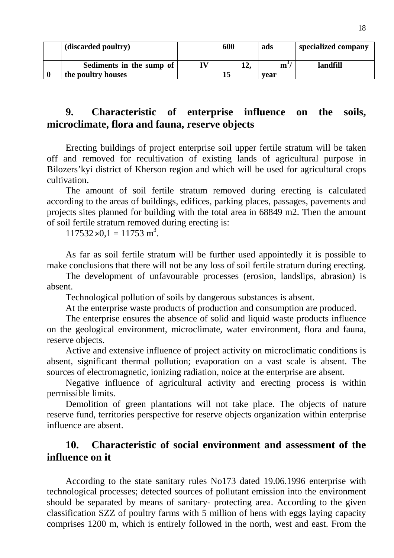| (discarded poultry)                            | 600 | ads                           | specialized company |
|------------------------------------------------|-----|-------------------------------|---------------------|
| Sediments in the sump of<br>the poultry houses | ⊥∠. | $\mathbf{m}^{\prime}$<br>vear | landfill            |

# **9. Characteristic of enterprise influence on the soils, microclimate, flora and fauna, reserve objects**

Erecting buildings of project enterprise soil upper fertile stratum will be taken off and removed for recultivation of existing lands of agricultural purpose in Bilozers'kyi district of Kherson region and which will be used for agricultural crops cultivation.

The amount of soil fertile stratum removed during erecting is calculated according to the areas of buildings, edifices, parking places, passages, pavements and projects sites planned for building with the total area in 68849 m2. Then the amount of soil fertile stratum removed during erecting is:

 $117532 \times 0,1 = 11753$  m<sup>3</sup>.

As far as soil fertile stratum will be further used appointedly it is possible to make conclusions that there will not be any loss of soil fertile stratum during erecting.

The development of unfavourable processes (erosion, landslips, abrasion) is absent.

Technological pollution of soils by dangerous substances is absent.

At the enterprise waste products of production and consumption are produced.

The enterprise ensures the absence of solid and liquid waste products influence on the geological environment, microclimate, water environment, flora and fauna, reserve objects.

Active and extensive influence of project activity on microclimatic conditions is absent, significant thermal pollution; evaporation on a vast scale is absent. The sources of electromagnetic, ionizing radiation, noice at the enterprise are absent.

Negative influence of agricultural activity and erecting process is within permissible limits.

Demolition of green plantations will not take place. The objects of nature reserve fund, territories perspective for reserve objects organization within enterprise influence are absent.

# **10. Characteristic of social environment and assessment of the influence on it**

According to the state sanitary rules No173 dated 19.06.1996 enterprise with technological processes; detected sources of pollutant emission into the environment should be separated by means of sanitary- protecting area. According to the given classification SZZ of poultry farms with 5 million of hens with eggs laying capacity comprises 1200 m, which is entirely followed in the north, west and east. From the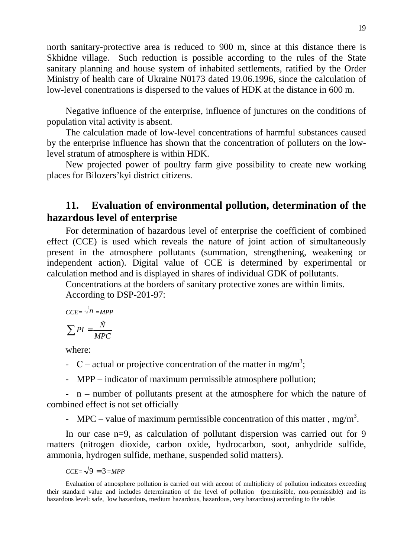north sanitary-protective area is reduced to 900 m, since at this distance there is Skhidne village. Such reduction is possible according to the rules of the State sanitary planning and house system of inhabited settlements, ratified by the Order Ministry of health care of Ukraine N0173 dated 19.06.1996, since the calculation of low-level conentrations is dispersed to the values of HDK at the distance in 600 m.

Negative influence of the enterprise, influence of junctures on the conditions of population vital activity is absent.

The calculation made of low-level concentrations of harmful substances caused by the enterprise influence has shown that the concentration of polluters on the lowlevel stratum of atmosphere is within HDK.

New projected power of poultry farm give possibility to create new working places for Bilozers'kyi district citizens.

# **11. Evaluation of environmental pollution, determination of the hazardous level of enterprise**

For determination of hazardous level of enterprise the coefficient of combined effect (CCE) is used which reveals the nature of joint action of simultaneously present in the atmosphere pollutants (summation, strengthening, weakening or independent action). Digital value of CCE is determined by experimental or calculation method and is displayed in shares of individual GDK of pollutants.

Concentrations at the borders of sanitary protective zones are within limits.

According to DSP-201-97:

$$
CCE = \sqrt{n} = MPP
$$

$$
\sum PI = \frac{\tilde{N}}{MPC}
$$

where:

- C actual or projective concentration of the matter in mg/m<sup>3</sup>;
- MPP indicator of maximum permissible atmosphere pollution;

- n – number of pollutants present at the atmosphere for which the nature of combined effect is not set officially

- MPC – value of maximum permissible concentration of this matter, mg/m<sup>3</sup>.

In our case n=9, as calculation of pollutant dispersion was carried out for 9 matters (nitrogen dioxide, carbon oxide, hydrocarbon, soot, anhydride sulfide, ammonia, hydrogen sulfide, methane, suspended solid matters).

$$
CCE = \sqrt{9} = 3 = MPP
$$

Evaluation of atmosphere pollution is carried out with accout of multiplicity of pollution indicators exceeding their standard value and includes determination of the level of pollution (permissible, non-permissible) and its hazardous level: safe, low hazardous, medium hazardous, hazardous, very hazardous) according to the table: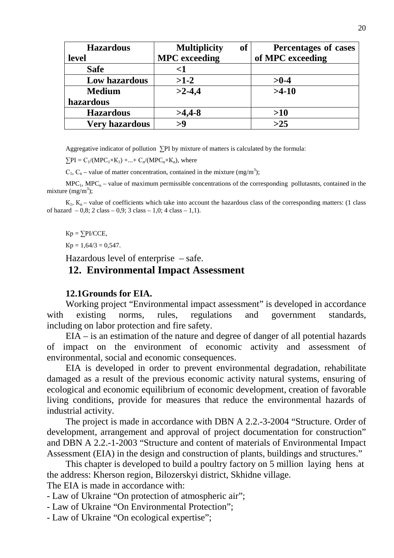| <b>Hazardous</b>      | <b>Multiplicity</b>  | <b>of</b> | Percentages of cases |
|-----------------------|----------------------|-----------|----------------------|
| level                 | <b>MPC</b> exceeding |           | of MPC exceeding     |
| <b>Safe</b>           | $<$ 1                |           |                      |
| Low hazardous         | $>1-2$               |           | $>0-4$               |
| <b>Medium</b>         | $>2-4,4$             |           | $>4-10$              |
| hazardous             |                      |           |                      |
| <b>Hazardous</b>      | $>4,4-8$             |           | >10                  |
| <b>Very hazardous</b> | >9                   |           | $>25$                |

Aggregative indicator of pollution ∑PI by mixture of matters is calculated by the formula:

 $\sum PI = C_1/(MPC_1 \times K_1) + ... + C_n/(MPC_n \times K_n)$ , where

 $C_1$ ,  $C_n$  – value of matter concentration, contained in the mixture (mg/m<sup>3</sup>);

 $MPC<sub>1</sub>$ ,  $MPC<sub>n</sub>$  – value of maximum permissible concentrations of the corresponding pollutasnts, contained in the mixture  $(mg/m^3)$ ;

 $K_1$ ,  $K_n$  – value of coefficients which take into account the hazardous class of the corresponding matters: (1 class of hazard  $-0.8$ ; 2 class  $-0.9$ ; 3 class  $-1.0$ ; 4 class  $-1.1$ ).

 $Kp = \sum P I/CCE$ ,

 $Kp = 1,64/3 = 0,547.$ 

Hazardous level of enterprise – safe.

### **12. Environmental Impact Assessment**

#### **12.1Grounds for EIA.**

Working project "Environmental impact assessment" is developed in accordance with existing norms, rules, regulations and government standards, including on labor protection and fire safety.

EIA – is an estimation of the nature and degree of danger of all potential hazards of impact on the environment of economic activity and assessment of environmental, social and economic consequences.

EIA is developed in order to prevent environmental degradation, rehabilitate damaged as a result of the previous economic activity natural systems, ensuring of ecological and economic equilibrium of economic development, creation of favorable living conditions, provide for measures that reduce the environmental hazards of industrial activity.

The project is made in accordance with DBN A 2.2.-3-2004 "Structure. Order of development, arrangement and approval of project documentation for construction" and DBN A 2.2.-1-2003 "Structure and content of materials of Environmental Impact Assessment (EIA) in the design and construction of plants, buildings and structures."

This chapter is developed to build a poultry factory on 5 million laying hens at the address: Kherson region, Bilozerskyi district, Skhidne village.

The EIA is made in accordance with:

- Law of Ukraine "On protection of atmospheric air";

- Law of Ukraine "On Environmental Protection";

- Law of Ukraine "On ecological expertise";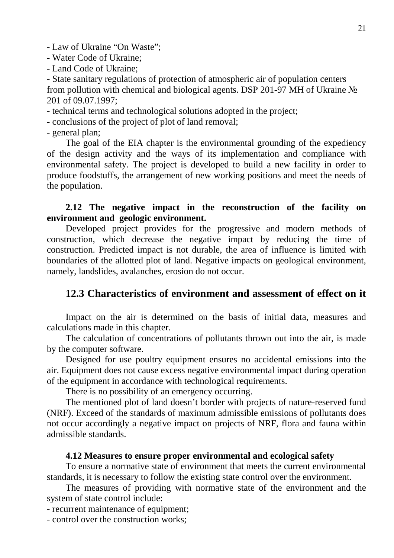- Law of Ukraine "On Waste";

- Water Code of Ukraine;
- Land Code of Ukraine;

- State sanitary regulations of protection of atmospheric air of population centers from pollution with chemical and biological agents. DSP 201-97 MH of Ukraine № 201 of 09.07.1997;

- technical terms and technological solutions adopted in the project;

- conclusions of the project of plot of land removal;

- general plan;

The goal of the EIA chapter is the environmental grounding of the expediency of the design activity and the ways of its implementation and compliance with environmental safety. The project is developed to build a new facility in order to produce foodstuffs, the arrangement of new working positions and meet the needs of the population.

## **2.12 The negative impact in the reconstruction of the facility on environment and geologic environment.**

Developed project provides for the progressive and modern methods of construction, which decrease the negative impact by reducing the time of construction. Predicted impact is not durable, the area of influence is limited with boundaries of the allotted plot of land. Negative impacts on geological environment, namely, landslides, avalanches, erosion do not occur.

# **12.3 Characteristics of environment and assessment of effect on it**

Impact on the air is determined on the basis of initial data, measures and calculations made in this chapter.

The calculation of concentrations of pollutants thrown out into the air, is made by the computer software.

Designed for use poultry equipment ensures no accidental emissions into the air. Equipment does not cause excess negative environmental impact during operation of the equipment in accordance with technological requirements.

There is no possibility of an emergency occurring.

The mentioned plot of land doesn't border with projects of nature-reserved fund (NRF). Exceed of the standards of maximum admissible emissions of pollutants does not occur accordingly a negative impact on projects of NRF, flora and fauna within admissible standards.

#### **4.12 Measures to ensure proper environmental and ecological safety**

To ensure a normative state of environment that meets the current environmental standards, it is necessary to follow the existing state control over the environment.

The measures of providing with normative state of the environment and the system of state control include:

- recurrent maintenance of equipment;

- control over the construction works;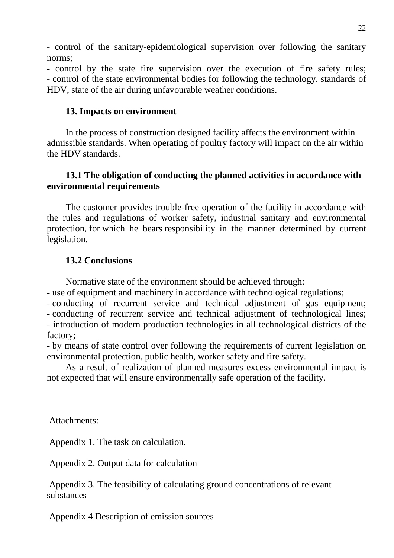- control of the sanitary-epidemiological supervision over following the sanitary norms;

- control by the state fire supervision over the execution of fire safety rules; - control of the state environmental bodies for following the technology, standards of HDV, state of the air during unfavourable weather conditions.

### **13. Impacts on environment**

In the process of construction designed facility affects the environment within admissible standards. When operating of poultry factory will impact on the air within the HDV standards.

### **13.1 The obligation of conducting the planned activities in accordance with environmental requirements**

The customer provides trouble-free operation of the facility in accordance with the rules and regulations of worker safety, industrial sanitary and environmental protection, for which he bears responsibility in the manner determined by current legislation.

### **13.2 Conclusions**

Normative state of the environment should be achieved through:

- use of equipment and machinery in accordance with technological regulations;

- conducting of recurrent service and technical adjustment of gas equipment; - conducting of recurrent service and technical adjustment of technological lines; - introduction of modern production technologies in all technological districts of the factory;

- by means of state control over following the requirements of current legislation on environmental protection, public health, worker safety and fire safety.

As a result of realization of planned measures excess environmental impact is not expected that will ensure environmentally safe operation of the facility.

Attachments:

Appendix 1. The task on calculation.

Appendix 2. Output data for calculation

 Appendix 3. The feasibility of calculating ground concentrations of relevant substances

Appendix 4 Description of emission sources